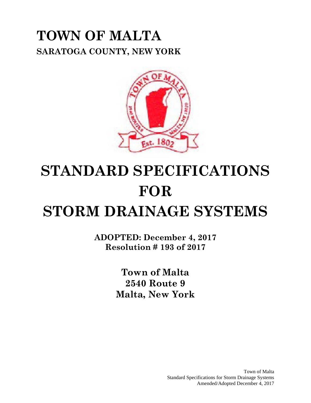### **TOWN OF MALTA SARATOGA COUNTY, NEW YORK**



# **STANDARD SPECIFICATIONS FOR**

**STORM DRAINAGE SYSTEMS**

**ADOPTED: December 4, 2017 Resolution # 193 of 2017**

> **Town of Malta 2540 Route 9 Malta, New York**

> > Town of Malta Standard Specifications for Storm Drainage Systems Amended/Adopted December 4, 2017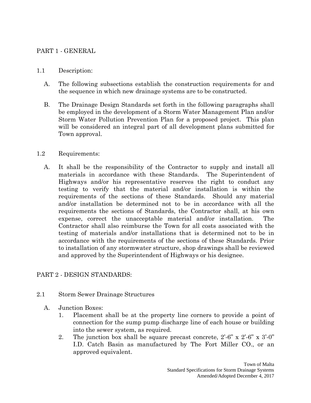#### PART 1 - GENERAL

#### 1.1 Description:

- A. The following subsections establish the construction requirements for and the sequence in which new drainage systems are to be constructed.
- B. The Drainage Design Standards set forth in the following paragraphs shall be employed in the development of a Storm Water Management Plan and/or Storm Water Pollution Prevention Plan for a proposed project. This plan will be considered an integral part of all development plans submitted for Town approval.

#### 1.2 Requirements:

A. It shall be the responsibility of the Contractor to supply and install all materials in accordance with these Standards. The Superintendent of Highways and/or his representative reserves the right to conduct any testing to verify that the material and/or installation is within the requirements of the sections of these Standards. Should any material and/or installation be determined not to be in accordance with all the requirements the sections of Standards, the Contractor shall, at his own expense, correct the unacceptable material and/or installation. The Contractor shall also reimburse the Town for all costs associated with the testing of materials and/or installations that is determined not to be in accordance with the requirements of the sections of these Standards. Prior to installation of any stormwater structure, shop drawings shall be reviewed and approved by the Superintendent of Highways or his designee.

#### PART 2 - DESIGN STANDARDS:

- 2.1 Storm Sewer Drainage Structures
	- A. Junction Boxes:
		- 1. Placement shall be at the property line corners to provide a point of connection for the sump pump discharge line of each house or building into the sewer system, as required.
		- 2. The junction box shall be square precast concrete, 2'-6" x 2'-6" x 3'-0" I.D. Catch Basin as manufactured by The Fort Miller CO., or an approved equivalent.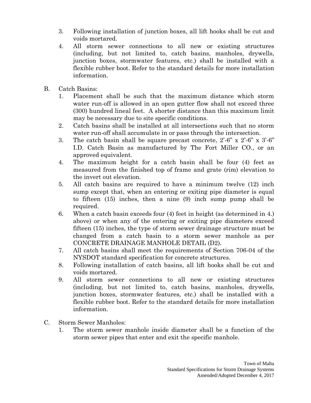- 3. Following installation of junction boxes, all lift hooks shall be cut and voids mortared.
- 4. All storm sewer connections to all new or existing structures (including, but not limited to, catch basins, manholes, drywells, junction boxes, stormwater features, etc.) shall be installed with a flexible rubber boot. Refer to the standard details for more installation information.
- B. Catch Basins:
	- 1. Placement shall be such that the maximum distance which storm water run-off is allowed in an open gutter flow shall not exceed three (300) hundred lineal feet. A shorter distance than this maximum limit may be necessary due to site specific conditions.
	- 2. Catch basins shall be installed at all intersections such that no storm water run-off shall accumulate in or pass through the intersection.
	- 3. The catch basin shall be square precast concrete, 2'-6" x 2'-6" x 3'-6" I.D. Catch Basin as manufactured by The Fort Miller CO., or an approved equivalent.
	- 4. The maximum height for a catch basin shall be four (4) feet as measured from the finished top of frame and grate (rim) elevation to the invert out elevation.
	- 5. All catch basins are required to have a minimum twelve (12) inch sump except that, when an entering or exiting pipe diameter is equal to fifteen (15) inches, then a nine (9) inch sump pump shall be required.
	- 6. When a catch basin exceeds four (4) feet in height (as determined in 4.) above) or when any of the entering or exiting pipe diameters exceed fifteen (15) inches, the type of storm sewer drainage structure must be changed from a catch basin to a storm sewer manhole as per CONCRETE DRAINAGE MANHOLE DETAIL (D2).
	- 7. All catch basins shall meet the requirements of Section 706-04 of the NYSDOT standard specification for concrete structures.
	- 8. Following installation of catch basins, all lift hooks shall be cut and voids mortared.
	- 9. All storm sewer connections to all new or existing structures (including, but not limited to, catch basins, manholes, drywells, junction boxes, stormwater features, etc.) shall be installed with a flexible rubber boot. Refer to the standard details for more installation information.
- C. Storm Sewer Manholes:
	- 1. The storm sewer manhole inside diameter shall be a function of the storm sewer pipes that enter and exit the specific manhole.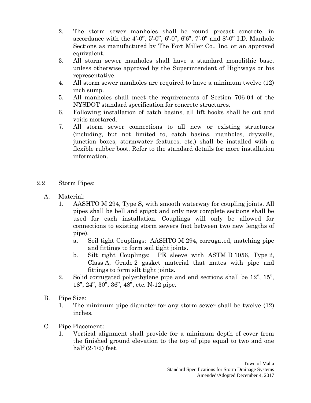- 2. The storm sewer manholes shall be round precast concrete, in accordance with the  $4'$ -0",  $5'$ -0",  $6'$ -0",  $6'6"$ ,  $7'$ -0" and  $8'$ -0" I.D. Manhole Sections as manufactured by The Fort Miller Co., Inc. or an approved equivalent.
- 3. All storm sewer manholes shall have a standard monolithic base, unless otherwise approved by the Superintendent of Highways or his representative.
- 4. All storm sewer manholes are required to have a minimum twelve (12) inch sump.
- 5. All manholes shall meet the requirements of Section 706-04 of the NYSDOT standard specification for concrete structures.
- 6. Following installation of catch basins, all lift hooks shall be cut and voids mortared.
- 7. All storm sewer connections to all new or existing structures (including, but not limited to, catch basins, manholes, drywells, junction boxes, stormwater features, etc.) shall be installed with a flexible rubber boot. Refer to the standard details for more installation information.
- 2.2 Storm Pipes:
	- A. Material:
		- 1. AASHTO M 294, Type S, with smooth waterway for coupling joints. All pipes shall be bell and spigot and only new complete sections shall be used for each installation. Couplings will only be allowed for connections to existing storm sewers (not between two new lengths of pipe).
			- a. Soil tight Couplings: AASHTO M 294, corrugated, matching pipe and fittings to form soil tight joints.
			- b. Silt tight Couplings: PE sleeve with ASTM D 1056, Type 2, Class A, Grade 2 gasket material that mates with pipe and fittings to form silt tight joints.
		- 2. Solid corrugated polyethylene pipe and end sections shall be 12", 15", 18", 24", 30", 36", 48", etc. N-12 pipe.
	- B. Pipe Size:
		- 1. The minimum pipe diameter for any storm sewer shall be twelve (12) inches.
	- C. Pipe Placement:
		- 1. Vertical alignment shall provide for a minimum depth of cover from the finished ground elevation to the top of pipe equal to two and one half (2-1/2) feet.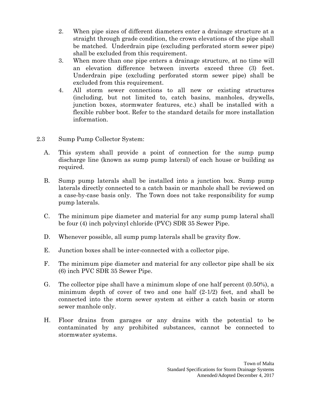- 2. When pipe sizes of different diameters enter a drainage structure at a straight through grade condition, the crown elevations of the pipe shall be matched. Underdrain pipe (excluding perforated storm sewer pipe) shall be excluded from this requirement.
- 3. When more than one pipe enters a drainage structure, at no time will an elevation difference between inverts exceed three (3) feet. Underdrain pipe (excluding perforated storm sewer pipe) shall be excluded from this requirement.
- 4. All storm sewer connections to all new or existing structures (including, but not limited to, catch basins, manholes, drywells, junction boxes, stormwater features, etc.) shall be installed with a flexible rubber boot. Refer to the standard details for more installation information.
- 2.3 Sump Pump Collector System:
	- A. This system shall provide a point of connection for the sump pump discharge line (known as sump pump lateral) of each house or building as required.
	- B. Sump pump laterals shall be installed into a junction box. Sump pump laterals directly connected to a catch basin or manhole shall be reviewed on a case-by-case basis only. The Town does not take responsibility for sump pump laterals.
	- C. The minimum pipe diameter and material for any sump pump lateral shall be four (4) inch polyvinyl chloride (PVC) SDR 35 Sewer Pipe.
	- D. Whenever possible, all sump pump laterals shall be gravity flow.
	- E. Junction boxes shall be inter-connected with a collector pipe.
	- F. The minimum pipe diameter and material for any collector pipe shall be six (6) inch PVC SDR 35 Sewer Pipe.
	- G. The collector pipe shall have a minimum slope of one half percent (0.50%), a minimum depth of cover of two and one half  $(2-1/2)$  feet, and shall be connected into the storm sewer system at either a catch basin or storm sewer manhole only.
	- H. Floor drains from garages or any drains with the potential to be contaminated by any prohibited substances, cannot be connected to stormwater systems.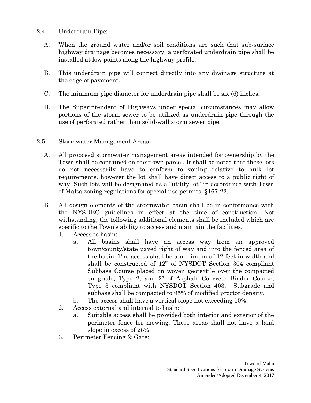- 2.4 Underdrain Pipe:
	- A. When the ground water and/or soil conditions are such that sub-surface highway drainage becomes necessary, a perforated underdrain pipe shall be installed at low points along the highway profile.
	- B. This underdrain pipe will connect directly into any drainage structure at the edge of pavement.
	- C. The minimum pipe diameter for underdrain pipe shall be six (6) inches.
	- D. The Superintendent of Highways under special circumstances may allow portions of the storm sewer to be utilized as underdrain pipe through the use of perforated rather than solid-wall storm sewer pipe.
- 2.5 Stormwater Management Areas
	- A. All proposed stormwater management areas intended for ownership by the Town shall be contained on their own parcel. It shall be noted that these lots do not necessarily have to conform to zoning relative to bulk lot requirements, however the lot shall have direct access to a public right of way. Such lots will be designated as a "utility lot" in accordance with Town of Malta zoning regulations for special use permits, §167-22.
	- B. All design elements of the stormwater basin shall be in conformance with the NYSDEC guidelines in effect at the time of construction. Not withstanding, the following additional elements shall be included which are specific to the Town's ability to access and maintain the facilities.
		- 1. Access to basin:
			- a. All basins shall have an access way from an approved town/county/state paved right of way and into the fenced area of the basin. The access shall be a minimum of 12-feet in width and shall be constructed of 12" of NYSDOT Section 304 compliant Subbase Course placed on woven geotextile over the compacted subgrade, Type 2, and 2" of Asphalt Concrete Binder Course, Type 3 compliant with NYSDOT Section 403. Subgrade and subbase shall be compacted to 95% of modified proctor density.
			- b. The access shall have a vertical slope not exceeding 10%.
		- 2. Access external and internal to basin:
			- a. Suitable access shall be provided both interior and exterior of the perimeter fence for mowing. These areas shall not have a land slope in excess of 25%.
		- 3. Perimeter Fencing & Gate: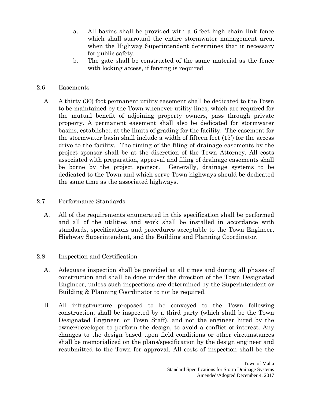- a. All basins shall be provided with a 6-feet high chain link fence which shall surround the entire stormwater management area, when the Highway Superintendent determines that it necessary for public safety.
- b. The gate shall be constructed of the same material as the fence with locking access, if fencing is required.
- 2.6 Easements
	- A. A thirty (30) foot permanent utility easement shall be dedicated to the Town to be maintained by the Town whenever utility lines, which are required for the mutual benefit of adjoining property owners, pass through private property. A permanent easement shall also be dedicated for stormwater basins, established at the limits of grading for the facility. The easement for the stormwater basin shall include a width of fifteen feet (15') for the access drive to the facility. The timing of the filing of drainage easements by the project sponsor shall be at the discretion of the Town Attorney. All costs associated with preparation, approval and filing of drainage easements shall be borne by the project sponsor. Generally, drainage systems to be dedicated to the Town and which serve Town highways should be dedicated the same time as the associated highways.
- 2.7 Performance Standards
	- A. All of the requirements enumerated in this specification shall be performed and all of the utilities and work shall be installed in accordance with standards, specifications and procedures acceptable to the Town Engineer, Highway Superintendent, and the Building and Planning Coordinator.
- 2.8 Inspection and Certification
	- A. Adequate inspection shall be provided at all times and during all phases of construction and shall be done under the direction of the Town Designated Engineer, unless such inspections are determined by the Superintendent or Building & Planning Coordinator to not be required.
	- B. All infrastructure proposed to be conveyed to the Town following construction, shall be inspected by a third party (which shall be the Town Designated Engineer, or Town Staff), and not the engineer hired by the owner/developer to perform the design, to avoid a conflict of interest. Any changes to the design based upon field conditions or other circumstances shall be memorialized on the plans/specification by the design engineer and resubmitted to the Town for approval. All costs of inspection shall be the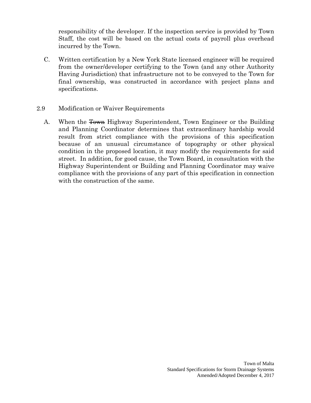responsibility of the developer. If the inspection service is provided by Town Staff, the cost will be based on the actual costs of payroll plus overhead incurred by the Town.

- C. Written certification by a New York State licensed engineer will be required from the owner/developer certifying to the Town (and any other Authority Having Jurisdiction) that infrastructure not to be conveyed to the Town for final ownership, was constructed in accordance with project plans and specifications.
- 2.9 Modification or Waiver Requirements
	- A. When the <del>Town</del> Highway Superintendent, Town Engineer or the Building and Planning Coordinator determines that extraordinary hardship would result from strict compliance with the provisions of this specification because of an unusual circumstance of topography or other physical condition in the proposed location, it may modify the requirements for said street. In addition, for good cause, the Town Board, in consultation with the Highway Superintendent or Building and Planning Coordinator may waive compliance with the provisions of any part of this specification in connection with the construction of the same.